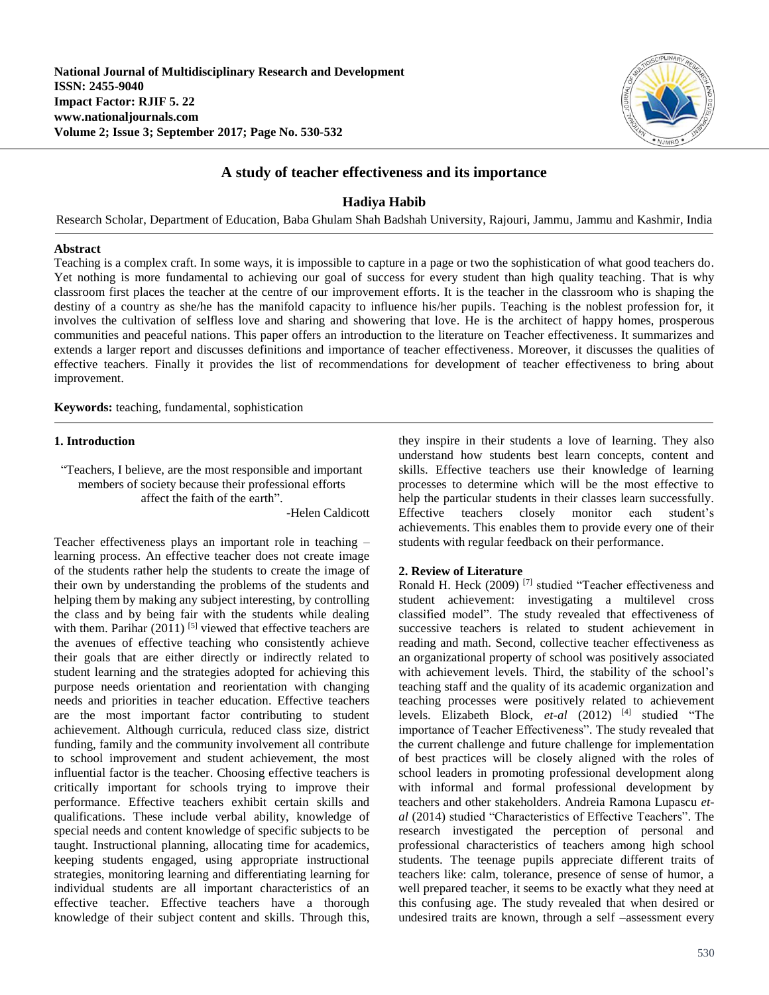

# **A study of teacher effectiveness and its importance**

# **Hadiya Habib**

Research Scholar, Department of Education, Baba Ghulam Shah Badshah University, Rajouri, Jammu, Jammu and Kashmir, India

### **Abstract**

Teaching is a complex craft. In some ways, it is impossible to capture in a page or two the sophistication of what good teachers do. Yet nothing is more fundamental to achieving our goal of success for every student than high quality teaching. That is why classroom first places the teacher at the centre of our improvement efforts. It is the teacher in the classroom who is shaping the destiny of a country as she/he has the manifold capacity to influence his/her pupils. Teaching is the noblest profession for, it involves the cultivation of selfless love and sharing and showering that love. He is the architect of happy homes, prosperous communities and peaceful nations. This paper offers an introduction to the literature on Teacher effectiveness. It summarizes and extends a larger report and discusses definitions and importance of teacher effectiveness. Moreover, it discusses the qualities of effective teachers. Finally it provides the list of recommendations for development of teacher effectiveness to bring about improvement.

**Keywords:** teaching, fundamental, sophistication

# **1. Introduction**

"Teachers, I believe, are the most responsible and important members of society because their professional efforts affect the faith of the earth".

-Helen Caldicott

Teacher effectiveness plays an important role in teaching – learning process. An effective teacher does not create image of the students rather help the students to create the image of their own by understanding the problems of the students and helping them by making any subject interesting, by controlling the class and by being fair with the students while dealing with them. Parihar  $(2011)^{5}$  viewed that effective teachers are the avenues of effective teaching who consistently achieve their goals that are either directly or indirectly related to student learning and the strategies adopted for achieving this purpose needs orientation and reorientation with changing needs and priorities in teacher education. Effective teachers are the most important factor contributing to student achievement. Although curricula, reduced class size, district funding, family and the community involvement all contribute to school improvement and student achievement, the most influential factor is the teacher. Choosing effective teachers is critically important for schools trying to improve their performance. Effective teachers exhibit certain skills and qualifications. These include verbal ability, knowledge of special needs and content knowledge of specific subjects to be taught. Instructional planning, allocating time for academics, keeping students engaged, using appropriate instructional strategies, monitoring learning and differentiating learning for individual students are all important characteristics of an effective teacher. Effective teachers have a thorough knowledge of their subject content and skills. Through this,

they inspire in their students a love of learning. They also understand how students best learn concepts, content and skills. Effective teachers use their knowledge of learning processes to determine which will be the most effective to help the particular students in their classes learn successfully. Effective teachers closely monitor each student's achievements. This enables them to provide every one of their students with regular feedback on their performance.

# **2. Review of Literature**

Ronald H. Heck (2009) [7] studied "Teacher effectiveness and student achievement: investigating a multilevel cross classified model". The study revealed that effectiveness of successive teachers is related to student achievement in reading and math. Second, collective teacher effectiveness as an organizational property of school was positively associated with achievement levels. Third, the stability of the school's teaching staff and the quality of its academic organization and teaching processes were positively related to achievement levels. Elizabeth Block, *et-al* (2012) [4] studied "The importance of Teacher Effectiveness". The study revealed that the current challenge and future challenge for implementation of best practices will be closely aligned with the roles of school leaders in promoting professional development along with informal and formal professional development by teachers and other stakeholders. Andreia Ramona Lupascu *etal* (2014) studied "Characteristics of Effective Teachers". The research investigated the perception of personal and professional characteristics of teachers among high school students. The teenage pupils appreciate different traits of teachers like: calm, tolerance, presence of sense of humor, a well prepared teacher, it seems to be exactly what they need at this confusing age. The study revealed that when desired or undesired traits are known, through a self –assessment every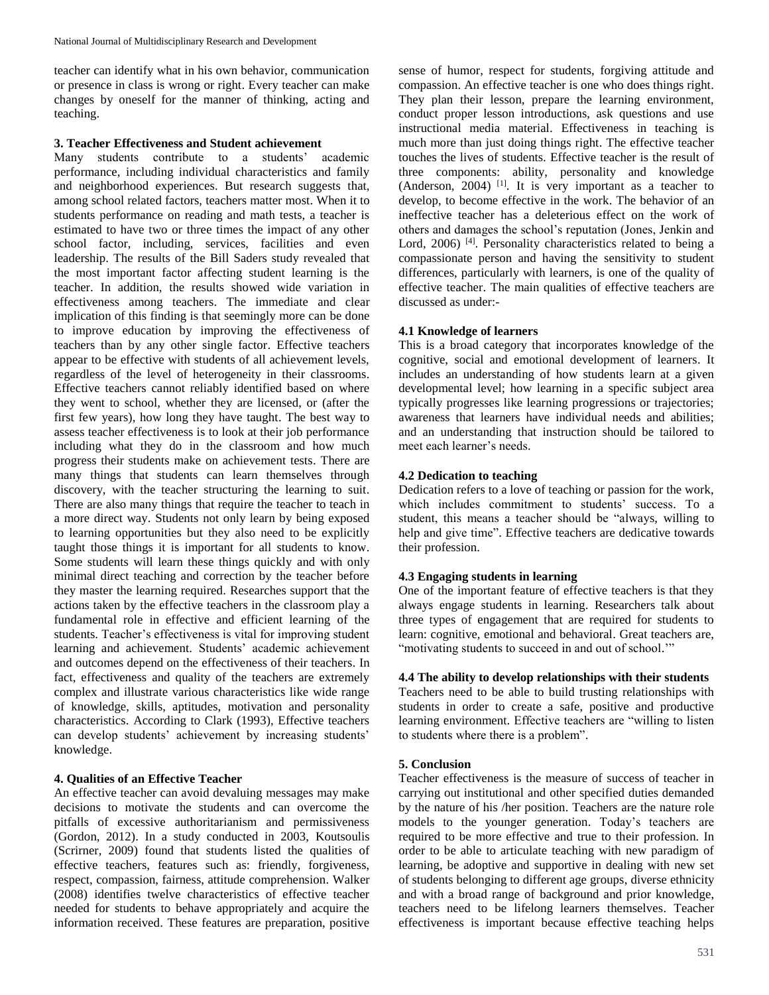teacher can identify what in his own behavior, communication or presence in class is wrong or right. Every teacher can make changes by oneself for the manner of thinking, acting and teaching.

#### **3. Teacher Effectiveness and Student achievement**

Many students contribute to a students' academic performance, including individual characteristics and family and neighborhood experiences. But research suggests that, among school related factors, teachers matter most. When it to students performance on reading and math tests, a teacher is estimated to have two or three times the impact of any other school factor, including, services, facilities and even leadership. The results of the Bill Saders study revealed that the most important factor affecting student learning is the teacher. In addition, the results showed wide variation in effectiveness among teachers. The immediate and clear implication of this finding is that seemingly more can be done to improve education by improving the effectiveness of teachers than by any other single factor. Effective teachers appear to be effective with students of all achievement levels, regardless of the level of heterogeneity in their classrooms. Effective teachers cannot reliably identified based on where they went to school, whether they are licensed, or (after the first few years), how long they have taught. The best way to assess teacher effectiveness is to look at their job performance including what they do in the classroom and how much progress their students make on achievement tests. There are many things that students can learn themselves through discovery, with the teacher structuring the learning to suit. There are also many things that require the teacher to teach in a more direct way. Students not only learn by being exposed to learning opportunities but they also need to be explicitly taught those things it is important for all students to know. Some students will learn these things quickly and with only minimal direct teaching and correction by the teacher before they master the learning required. Researches support that the actions taken by the effective teachers in the classroom play a fundamental role in effective and efficient learning of the students. Teacher's effectiveness is vital for improving student learning and achievement. Students' academic achievement and outcomes depend on the effectiveness of their teachers. In fact, effectiveness and quality of the teachers are extremely complex and illustrate various characteristics like wide range of knowledge, skills, aptitudes, motivation and personality characteristics. According to Clark (1993), Effective teachers can develop students' achievement by increasing students' knowledge.

#### **4. Qualities of an Effective Teacher**

An effective teacher can avoid devaluing messages may make decisions to motivate the students and can overcome the pitfalls of excessive authoritarianism and permissiveness (Gordon, 2012). In a study conducted in 2003, Koutsoulis (Scrirner, 2009) found that students listed the qualities of effective teachers, features such as: friendly, forgiveness, respect, compassion, fairness, attitude comprehension. Walker (2008) identifies twelve characteristics of effective teacher needed for students to behave appropriately and acquire the information received. These features are preparation, positive

sense of humor, respect for students, forgiving attitude and compassion. An effective teacher is one who does things right. They plan their lesson, prepare the learning environment, conduct proper lesson introductions, ask questions and use instructional media material. Effectiveness in teaching is much more than just doing things right. The effective teacher touches the lives of students. Effective teacher is the result of three components: ability, personality and knowledge (Anderson,  $2004$ )<sup>[1]</sup>. It is very important as a teacher to develop, to become effective in the work. The behavior of an ineffective teacher has a deleterious effect on the work of others and damages the school's reputation (Jones, Jenkin and Lord, 2006)<sup>[4]</sup>. Personality characteristics related to being a compassionate person and having the sensitivity to student differences, particularly with learners, is one of the quality of effective teacher. The main qualities of effective teachers are discussed as under:-

#### **4.1 Knowledge of learners**

This is a broad category that incorporates knowledge of the cognitive, social and emotional development of learners. It includes an understanding of how students learn at a given developmental level; how learning in a specific subject area typically progresses like learning progressions or trajectories; awareness that learners have individual needs and abilities; and an understanding that instruction should be tailored to meet each learner's needs.

### **4.2 Dedication to teaching**

Dedication refers to a love of teaching or passion for the work, which includes commitment to students' success. To a student, this means a teacher should be "always, willing to help and give time". Effective teachers are dedicative towards their profession.

#### **4.3 Engaging students in learning**

One of the important feature of effective teachers is that they always engage students in learning. Researchers talk about three types of engagement that are required for students to learn: cognitive, emotional and behavioral. Great teachers are, "motivating students to succeed in and out of school.'"

### **4.4 The ability to develop relationships with their students**

Teachers need to be able to build trusting relationships with students in order to create a safe, positive and productive learning environment. Effective teachers are "willing to listen to students where there is a problem".

#### **5. Conclusion**

Teacher effectiveness is the measure of success of teacher in carrying out institutional and other specified duties demanded by the nature of his /her position. Teachers are the nature role models to the younger generation. Today's teachers are required to be more effective and true to their profession. In order to be able to articulate teaching with new paradigm of learning, be adoptive and supportive in dealing with new set of students belonging to different age groups, diverse ethnicity and with a broad range of background and prior knowledge, teachers need to be lifelong learners themselves. Teacher effectiveness is important because effective teaching helps